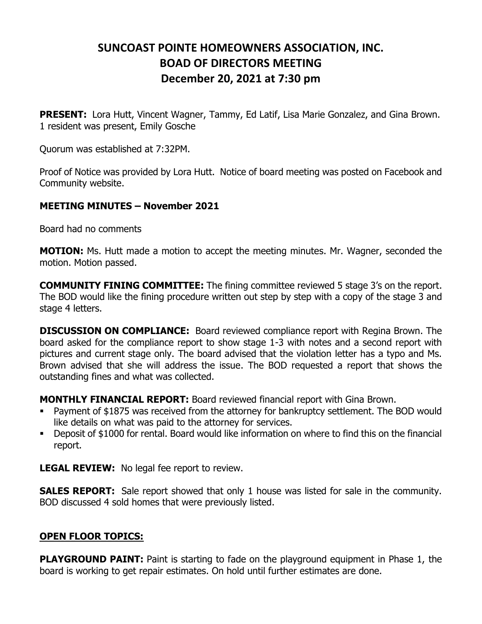## **SUNCOAST POINTE HOMEOWNERS ASSOCIATION, INC. BOAD OF DIRECTORS MEETING December 20, 2021 at 7:30 pm**

**PRESENT:** Lora Hutt, Vincent Wagner, Tammy, Ed Latif, Lisa Marie Gonzalez, and Gina Brown. 1 resident was present, Emily Gosche

Quorum was established at 7:32PM.

Proof of Notice was provided by Lora Hutt. Notice of board meeting was posted on Facebook and Community website.

## **MEETING MINUTES – November 2021**

Board had no comments

**MOTION:** Ms. Hutt made a motion to accept the meeting minutes. Mr. Wagner, seconded the motion. Motion passed.

**COMMUNITY FINING COMMITTEE:** The fining committee reviewed 5 stage 3's on the report. The BOD would like the fining procedure written out step by step with a copy of the stage 3 and stage 4 letters.

**DISCUSSION ON COMPLIANCE:** Board reviewed compliance report with Regina Brown. The board asked for the compliance report to show stage 1-3 with notes and a second report with pictures and current stage only. The board advised that the violation letter has a typo and Ms. Brown advised that she will address the issue. The BOD requested a report that shows the outstanding fines and what was collected.

**MONTHLY FINANCIAL REPORT:** Board reviewed financial report with Gina Brown.

- Payment of \$1875 was received from the attorney for bankruptcy settlement. The BOD would like details on what was paid to the attorney for services.
- Deposit of \$1000 for rental. Board would like information on where to find this on the financial report.

**LEGAL REVIEW:** No legal fee report to review.

**SALES REPORT:** Sale report showed that only 1 house was listed for sale in the community. BOD discussed 4 sold homes that were previously listed.

## **OPEN FLOOR TOPICS:**

**PLAYGROUND PAINT:** Paint is starting to fade on the playground equipment in Phase 1, the board is working to get repair estimates. On hold until further estimates are done.